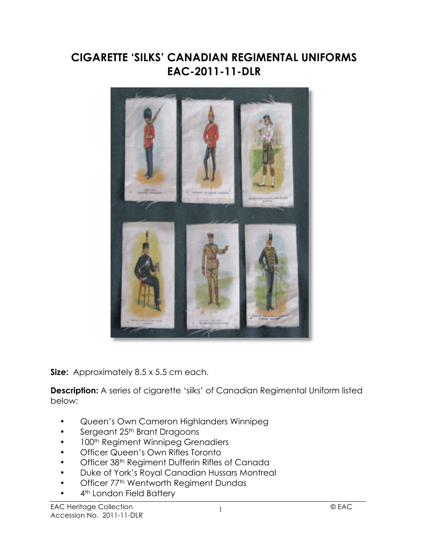## **CIGARETTE 'SILKS' CANADIAN REGIMENTAL UNIFORMS EAC-2011-11-DLR**



**Size:** Approximately 8.5 x 5.5 cm each.

**Description:** A series of cigarette 'silks' of Canadian Regimental Uniform listed below:

- Queen's Own Cameron Highlanders Winnipeg
- Sergeant 25<sup>th</sup> Brant Dragoons
- 100<sup>th</sup> Regiment Winnipeg Grenadiers
- Officer Queen's Own Rifles Toronto
- Officer 38<sup>th</sup> Regiment Dufferin Rifles of Canada
- Duke of York's Royal Canadian Hussars Montreal
- Officer 77th Wentworth Regiment Dundas
- 4<sup>th</sup> London Field Battery